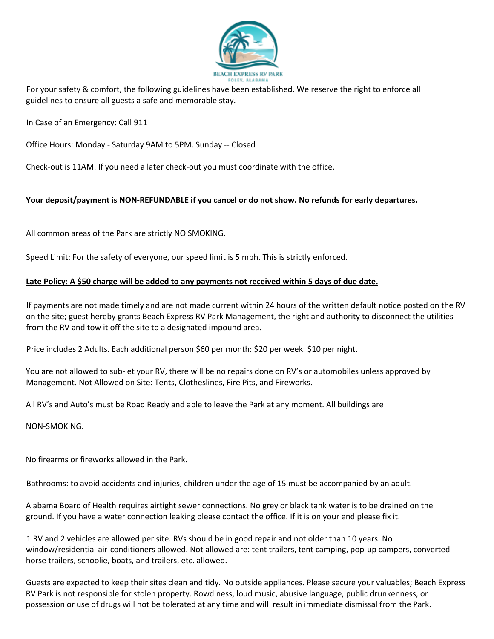

For your safety & comfort, the following guidelines have been established. We reserve the right to enforce all guidelines to ensure all guests a safe and memorable stay.

In Case of an Emergency: Call 911

Office Hours: Monday - Saturday 9AM to 5PM. Sunday -- Closed

Check-out is 11AM. If you need a later check-out you must coordinate with the office.

### **Your deposit/payment is NON-REFUNDABLE if you cancel or do not show. No refunds for early departures.**

All common areas of the Park are strictly NO SMOKING.

Speed Limit: For the safety of everyone, our speed limit is 5 mph. This is strictly enforced.

### **Late Policy: A \$50 charge will be added to any payments not received within 5 days of due date.**

If payments are not made timely and are not made current within 24 hours of the written default notice posted on the RV on the site; guest hereby grants Beach Express RV Park Management, the right and authority to disconnect the utilities from the RV and tow it off the site to a designated impound area.

Price includes 2 Adults. Each additional person \$60 per month: \$20 per week: \$10 per night.

You are not allowed to sub-let your RV, there will be no repairs done on RV's or automobiles unless approved by Management. Not Allowed on Site: Tents, Clotheslines, Fire Pits, and Fireworks.

All RV's and Auto's must be Road Ready and able to leave the Park at any moment. All buildings are

NON-SMOKING.

No firearms or fireworks allowed in the Park.

Bathrooms: to avoid accidents and injuries, children under the age of 15 must be accompanied by an adult.

Alabama Board of Health requires airtight sewer connections. No grey or black tank water is to be drained on the ground. If you have a water connection leaking please contact the office. If it is on your end please fix it.

1 RV and 2 vehicles are allowed per site. RVs should be in good repair and not older than 10 years. No window/residential air-conditioners allowed. Not allowed are: tent trailers, tent camping, pop-up campers, converted horse trailers, schoolie, boats, and trailers, etc. allowed.

Guests are expected to keep their sites clean and tidy. No outside appliances. Please secure your valuables; Beach Express RV Park is not responsible for stolen property. Rowdiness, loud music, abusive language, public drunkenness, or possession or use of drugs will not be tolerated at any time and will result in immediate dismissal from the Park.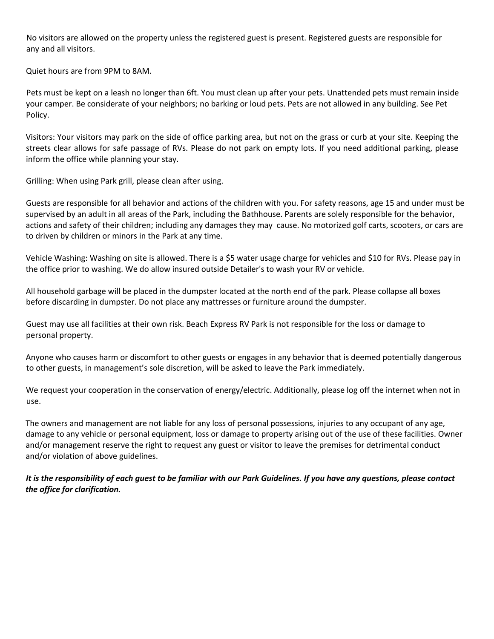No visitors are allowed on the property unless the registered guest is present. Registered guests are responsible for any and all visitors.

Quiet hours are from 9PM to 8AM.

Pets must be kept on a leash no longer than 6ft. You must clean up after your pets. Unattended pets must remain inside your camper. Be considerate of your neighbors; no barking or loud pets. Pets are not allowed in any building. See Pet Policy.

Visitors: Your visitors may park on the side of office parking area, but not on the grass or curb at your site. Keeping the streets clear allows for safe passage of RVs. Please do not park on empty lots. If you need additional parking, please inform the office while planning your stay.

Grilling: When using Park grill, please clean after using.

Guests are responsible for all behavior and actions of the children with you. For safety reasons, age 15 and under must be supervised by an adult in all areas of the Park, including the Bathhouse. Parents are solely responsible for the behavior, actions and safety of their children; including any damages they may cause. No motorized golf carts, scooters, or cars are to driven by children or minors in the Park at any time.

Vehicle Washing: Washing on site is allowed. There is a \$5 water usage charge for vehicles and \$10 for RVs. Please pay in the office prior to washing. We do allow insured outside Detailer's to wash your RV or vehicle.

All household garbage will be placed in the dumpster located at the north end of the park. Please collapse all boxes before discarding in dumpster. Do not place any mattresses or furniture around the dumpster.

Guest may use all facilities at their own risk. Beach Express RV Park is not responsible for the loss or damage to personal property.

Anyone who causes harm or discomfort to other guests or engages in any behavior that is deemed potentially dangerous to other guests, in management's sole discretion, will be asked to leave the Park immediately.

We request your cooperation in the conservation of energy/electric. Additionally, please log off the internet when not in use.

The owners and management are not liable for any loss of personal possessions, injuries to any occupant of any age, damage to any vehicle or personal equipment, loss or damage to property arising out of the use of these facilities. Owner and/or management reserve the right to request any guest or visitor to leave the premises for detrimental conduct and/or violation of above guidelines.

*It is the responsibility of each guest to be familiar with our Park Guidelines. If you have any questions, please contact the office for clarification.*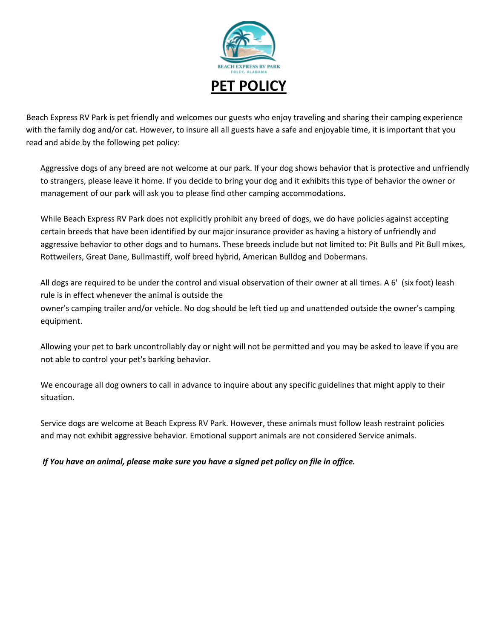

Beach Express RV Park is pet friendly and welcomes our guests who enjoy traveling and sharing their camping experience with the family dog and/or cat. However, to insure all all guests have a safe and enjoyable time, it is important that you read and abide by the following pet policy:

Aggressive dogs of any breed are not welcome at our park. If your dog shows behavior that is protective and unfriendly to strangers, please leave it home. If you decide to bring your dog and it exhibits this type of behavior the owner or management of our park will ask you to please find other camping accommodations.

While Beach Express RV Park does not explicitly prohibit any breed of dogs, we do have policies against accepting certain breeds that have been identified by our major insurance provider as having a history of unfriendly and aggressive behavior to other dogs and to humans. These breeds include but not limited to: Pit Bulls and Pit Bull mixes, Rottweilers, Great Dane, Bullmastiff, wolf breed hybrid, American Bulldog and Dobermans.

All dogs are required to be under the control and visual observation of their owner at all times. A 6' (six foot) leash rule is in effect whenever the animal is outside the owner's camping trailer and/or vehicle. No dog should be left tied up and unattended outside the owner's camping equipment.

Allowing your pet to bark uncontrollably day or night will not be permitted and you may be asked to leave if you are not able to control your pet's barking behavior.

We encourage all dog owners to call in advance to inquire about any specific guidelines that might apply to their situation.

Service dogs are welcome at Beach Express RV Park. However, these animals must follow leash restraint policies and may not exhibit aggressive behavior. Emotional support animals are not considered Service animals.

*If You have an animal, please make sure you have a signed pet policy on file in office.*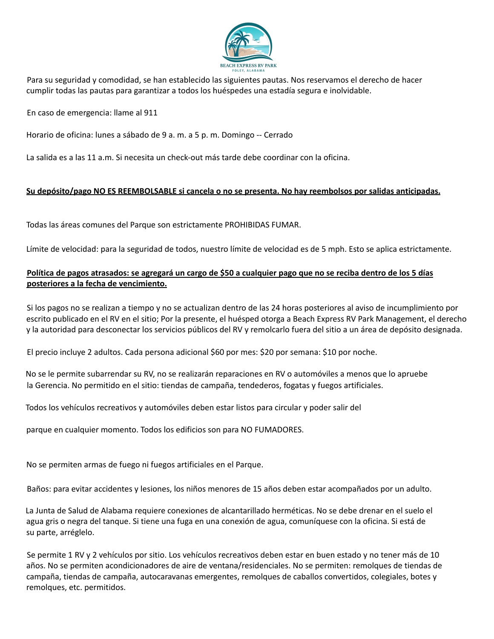

Para su seguridad y comodidad, se han establecido las siguientes pautas. Nos reservamos el derecho de hacer cumplir todas las pautas para garantizar a todos los huéspedes una estadía segura e inolvidable.

En caso de emergencia: llame al 911

Horario de oficina: lunes a sábado de 9 a. m. a 5 p. m. Domingo -- Cerrado

La salida es a las 11 a.m. Si necesita un check-out más tarde debe coordinar con la oficina.

### Su depósito/pago NO ES REEMBOLSABLE si cancela o no se presenta. No hay reembolsos por salidas anticipadas.

Todas las áreas comunes del Parque son estrictamente PROHIBIDAS FUMAR.

Límite de velocidad: para la seguridad de todos, nuestro límite de velocidad es de 5 mph. Esto se aplica estrictamente.

## Política de pagos atrasados: se agregará un cargo de \$50 a cualquier pago que no se reciba dentro de los 5 días **posteriores a la fecha de vencimiento.**

Si los pagos no se realizan a tiempo y no se actualizan dentro de las 24 horas posteriores al aviso de incumplimiento por escrito publicado en el RV en el sitio; Por la presente, el huésped otorga a Beach Express RV Park Management, el derecho y la autoridad para desconectar los servicios públicos del RV y remolcarlo fuera del sitio a un área de depósito designada.

El precio incluye 2 adultos. Cada persona adicional \$60 por mes: \$20 por semana: \$10 por noche.

No se le permite subarrendar su RV, no se realizarán reparaciones en RV o automóviles a menos que lo apruebe la Gerencia. No permitido en el sitio: tiendas de campaña, tendederos, fogatas y fuegos artificiales.

Todos los vehículos recreativos y automóviles deben estar listos para circular y poder salir del

parque en cualquier momento. Todos los edificios son para NO FUMADORES.

No se permiten armas de fuego ni fuegos artificiales en el Parque.

Baños: para evitar accidentes y lesiones, los niños menores de 15 años deben estar acompañados por un adulto.

La Junta de Salud de Alabama requiere conexiones de alcantarillado herméticas. No se debe drenar en el suelo el agua gris o negra del tanque. Si tiene una fuga en una conexión de agua, comuníquese con la oficina. Si está de su parte, arréglelo.

Se permite 1 RV y 2 vehículos por sitio. Los vehículos recreativos deben estar en buen estado y no tener más de 10 años. No se permiten acondicionadores de aire de ventana/residenciales. No se permiten: remolques de tiendas de campaña, tiendas de campaña, autocaravanas emergentes, remolques de caballos convertidos, colegiales, botes y remolques, etc. permitidos.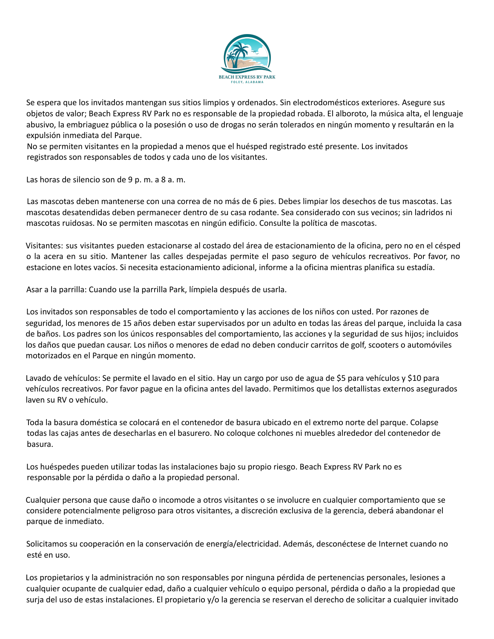

Se espera que los invitados mantengan sus sitios limpios y ordenados. Sin electrodomésticos exteriores. Asegure sus objetos de valor; Beach Express RV Park no es responsable de la propiedad robada. El alboroto, la música alta, el lenguaje abusivo, la embriaguez pública o la posesión o uso de drogas no serán tolerados en ningún momento y resultarán en la expulsión inmediata del Parque.

No se permiten visitantes en la propiedad a menos que el huésped registrado esté presente. Los invitados registrados son responsables de todos y cada uno de los visitantes.

Las horas de silencio son de 9 p. m. a 8 a. m.

Las mascotas deben mantenerse con una correa de no más de 6 pies. Debes limpiar los desechos de tus mascotas. Las mascotas desatendidas deben permanecer dentro de su casa rodante. Sea considerado con sus vecinos; sin ladridos ni mascotas ruidosas. No se permiten mascotas en ningún edificio. Consulte la política de mascotas.

Visitantes: sus visitantes pueden estacionarse al costado del área de estacionamiento de la oficina, pero no en el césped o la acera en su sitio. Mantener las calles despejadas permite el paso seguro de vehículos recreativos. Por favor, no estacione en lotes vacíos. Si necesita estacionamiento adicional, informe a la oficina mientras planifica su estadía.

Asar a la parrilla: Cuando use la parrilla Park, límpiela después de usarla.

Los invitados son responsables de todo el comportamiento y las acciones de los niños con usted. Por razones de seguridad, los menores de 15 años deben estar supervisados por un adulto en todas las áreas del parque, incluida la casa de baños. Los padres son los únicos responsables del comportamiento, las acciones y la seguridad de sus hijos; incluidos los daños que puedan causar. Los niños o menores de edad no deben conducir carritos de golf, scooters o automóviles motorizados en el Parque en ningún momento.

Lavado de vehículos: Se permite el lavado en el sitio. Hay un cargo por uso de agua de \$5 para vehículos y \$10 para vehículos recreativos. Por favor pague en la oficina antes del lavado. Permitimos que los detallistas externos asegurados laven su RV o vehículo.

Toda la basura doméstica se colocará en el contenedor de basura ubicado en el extremo norte del parque. Colapse todas las cajas antes de desecharlas en el basurero. No coloque colchones ni muebles alrededor del contenedor de basura.

Los huéspedes pueden utilizar todas las instalaciones bajo su propio riesgo. Beach Express RV Park no es responsable por la pérdida o daño a la propiedad personal.

Cualquier persona que cause daño o incomode a otros visitantes o se involucre en cualquier comportamiento que se considere potencialmente peligroso para otros visitantes, a discreción exclusiva de la gerencia, deberá abandonar el parque de inmediato.

Solicitamos su cooperación en la conservación de energía/electricidad. Además, desconéctese de Internet cuando no esté en uso.

Los propietarios y la administración no son responsables por ninguna pérdida de pertenencias personales, lesiones a cualquier ocupante de cualquier edad, daño a cualquier vehículo o equipo personal, pérdida o daño a la propiedad que surja del uso de estas instalaciones. El propietario y/o la gerencia se reservan el derecho de solicitar a cualquier invitado